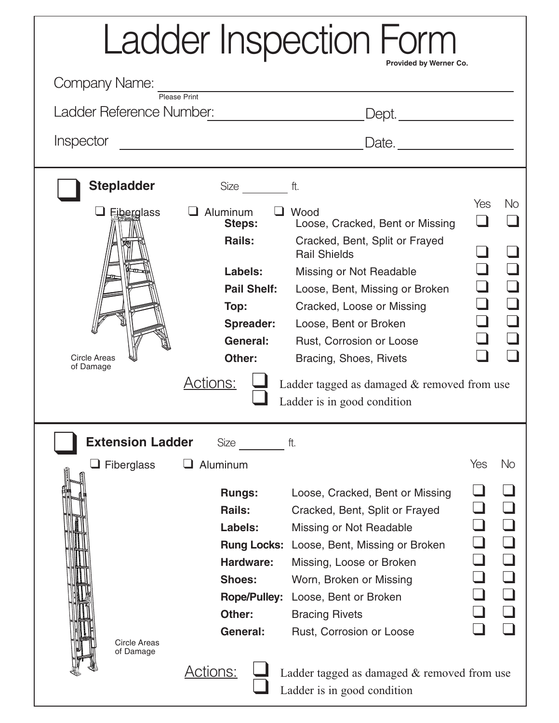| <b>Ladder Inspection Form</b>                                                |                                                                                                                                                        |                                                                                                                                                                                                                                                                                                                                                                         |     |           |
|------------------------------------------------------------------------------|--------------------------------------------------------------------------------------------------------------------------------------------------------|-------------------------------------------------------------------------------------------------------------------------------------------------------------------------------------------------------------------------------------------------------------------------------------------------------------------------------------------------------------------------|-----|-----------|
| Provided by Werner Co.<br><b>Company Name:</b>                               |                                                                                                                                                        |                                                                                                                                                                                                                                                                                                                                                                         |     |           |
| Please Print<br>Ladder Reference Number: [19] [19] Ladder Reference Number:  |                                                                                                                                                        |                                                                                                                                                                                                                                                                                                                                                                         |     |           |
| Inspector                                                                    |                                                                                                                                                        |                                                                                                                                                                                                                                                                                                                                                                         |     |           |
| <b>Stepladder</b><br><b>Eiberglass</b><br><b>Circle Areas</b><br>of Damage   | $Size \t$<br>$\Box$ Aluminum<br>Steps:<br>Rails:<br>Labels:<br><b>Pail Shelf:</b><br>Top:<br><b>Spreader:</b><br>General:<br>Other:<br><u>Actions:</u> | ft.<br>$\Box$ Wood<br>Loose, Cracked, Bent or Missing<br>Cracked, Bent, Split or Frayed<br><b>Rail Shields</b><br>Missing or Not Readable<br>Loose, Bent, Missing or Broken<br>Cracked, Loose or Missing<br>Loose, Bent or Broken<br>Rust, Corrosion or Loose<br>Bracing, Shoes, Rivets<br>Ladder tagged as damaged $&$ removed from use<br>Ladder is in good condition | Yes | <b>No</b> |
| <b>Extension Ladder</b><br>ft.<br>Yes<br>Aluminum<br>No<br>$\Box$ Fiberglass |                                                                                                                                                        |                                                                                                                                                                                                                                                                                                                                                                         |     |           |
| <b>Circle Areas</b><br>of Damage                                             | <b>Rungs:</b><br>Rails:<br>Labels:<br>Hardware:<br><b>Shoes:</b><br>Other:<br>General:                                                                 | Loose, Cracked, Bent or Missing<br>Cracked, Bent, Split or Frayed<br>Missing or Not Readable<br>Rung Locks: Loose, Bent, Missing or Broken<br>Missing, Loose or Broken<br>Worn, Broken or Missing<br>Rope/Pulley: Loose, Bent or Broken<br><b>Bracing Rivets</b><br>Rust, Corrosion or Loose                                                                            |     |           |
|                                                                              | <u> Actions:</u>                                                                                                                                       | Ladder tagged as damaged & removed from use<br>Ladder is in good condition                                                                                                                                                                                                                                                                                              |     |           |